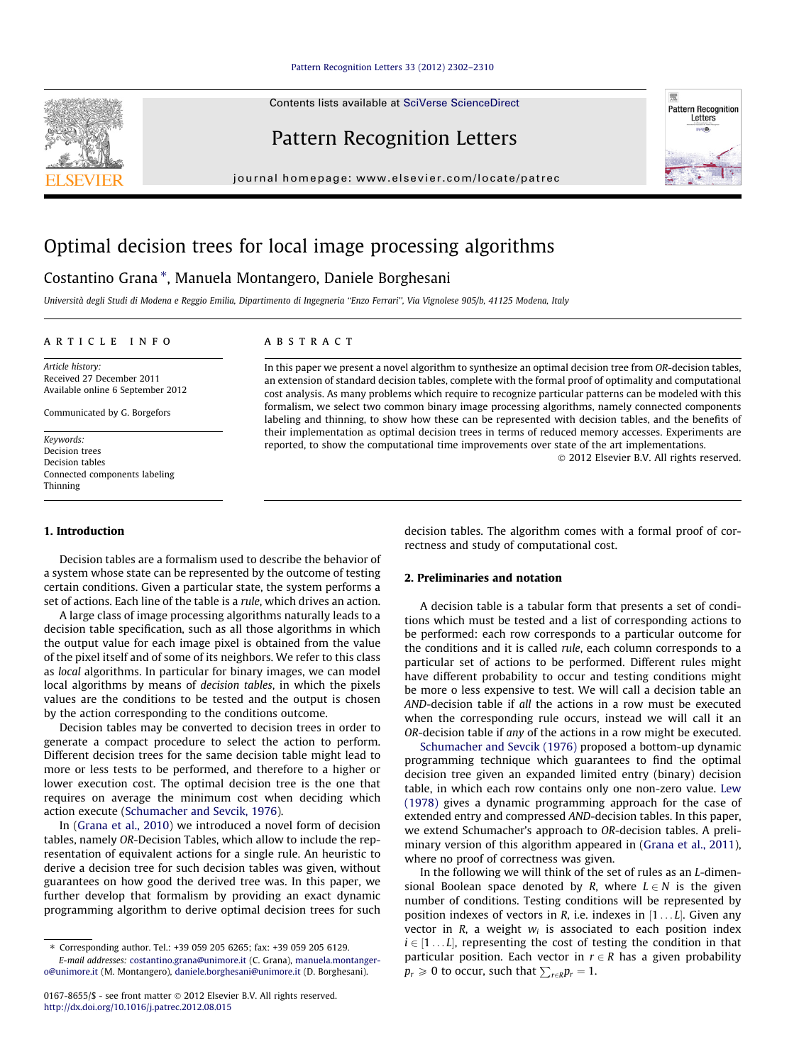#### [Pattern Recognition Letters 33 \(2012\) 2302–2310](http://dx.doi.org/10.1016/j.patrec.2012.08.015)

Contents lists available at [SciVerse ScienceDirect](http://www.sciencedirect.com/science/journal/01678655)

## Pattern Recognition Letters

journal homepage: [www.elsevier.com/locate/patrec](http://www.elsevier.com/locate/patrec)



### Costantino Grana\*, Manuela Montangero, Daniele Borghesani

Università degli Studi di Modena e Reggio Emilia, Dipartimento di Ingegneria ''Enzo Ferrari'', Via Vignolese 905/b, 41125 Modena, Italy

#### article info

Article history: Received 27 December 2011 Available online 6 September 2012

Communicated by G. Borgefors

Keywords: Decision trees Decision tables Connected components labeling Thinning

#### 1. Introduction

Decision tables are a formalism used to describe the behavior of a system whose state can be represented by the outcome of testing certain conditions. Given a particular state, the system performs a set of actions. Each line of the table is a rule, which drives an action.

A large class of image processing algorithms naturally leads to a decision table specification, such as all those algorithms in which the output value for each image pixel is obtained from the value of the pixel itself and of some of its neighbors. We refer to this class as local algorithms. In particular for binary images, we can model local algorithms by means of decision tables, in which the pixels values are the conditions to be tested and the output is chosen by the action corresponding to the conditions outcome.

Decision tables may be converted to decision trees in order to generate a compact procedure to select the action to perform. Different decision trees for the same decision table might lead to more or less tests to be performed, and therefore to a higher or lower execution cost. The optimal decision tree is the one that requires on average the minimum cost when deciding which action execute [\(Schumacher and Sevcik, 1976\)](#page-8-0).

In ([Grana et al., 2010](#page-7-0)) we introduced a novel form of decision tables, namely OR-Decision Tables, which allow to include the representation of equivalent actions for a single rule. An heuristic to derive a decision tree for such decision tables was given, without guarantees on how good the derived tree was. In this paper, we further develop that formalism by providing an exact dynamic programming algorithm to derive optimal decision trees for such

#### decision tables. The algorithm comes with a formal proof of correctness and study of computational cost.

#### 2. Preliminaries and notation

A decision table is a tabular form that presents a set of conditions which must be tested and a list of corresponding actions to be performed: each row corresponds to a particular outcome for the conditions and it is called rule, each column corresponds to a particular set of actions to be performed. Different rules might have different probability to occur and testing conditions might be more o less expensive to test. We will call a decision table an AND-decision table if all the actions in a row must be executed when the corresponding rule occurs, instead we will call it an OR-decision table if any of the actions in a row might be executed.

[Schumacher and Sevcik \(1976\)](#page-8-0) proposed a bottom-up dynamic programming technique which guarantees to find the optimal decision tree given an expanded limited entry (binary) decision table, in which each row contains only one non-zero value. [Lew](#page-8-0) [\(1978\)](#page-8-0) gives a dynamic programming approach for the case of extended entry and compressed AND-decision tables. In this paper, we extend Schumacher's approach to OR-decision tables. A preliminary version of this algorithm appeared in [\(Grana et al., 2011\)](#page-7-0), where no proof of correctness was given.

In the following we will think of the set of rules as an L-dimensional Boolean space denoted by R, where  $L \in N$  is the given number of conditions. Testing conditions will be represented by position indexes of vectors in R, i.e. indexes in  $[1 \dots L]$ . Given any vector in  $R$ , a weight  $w_i$  is associated to each position index  $i \in [1 \dots L]$ , representing the cost of testing the condition in that particular position. Each vector in  $r \in R$  has a given probability  $p_r \ge 0$  to occur, such that  $\sum_{r \in R} p_r = 1$ .



# abstract

In this paper we present a novel algorithm to synthesize an optimal decision tree from OR-decision tables, an extension of standard decision tables, complete with the formal proof of optimality and computational cost analysis. As many problems which require to recognize particular patterns can be modeled with this formalism, we select two common binary image processing algorithms, namely connected components labeling and thinning, to show how these can be represented with decision tables, and the benefits of their implementation as optimal decision trees in terms of reduced memory accesses. Experiments are reported, to show the computational time improvements over state of the art implementations.

- 2012 Elsevier B.V. All rights reserved.

<sup>⇑</sup> Corresponding author. Tel.: +39 059 205 6265; fax: +39 059 205 6129. E-mail addresses: [costantino.grana@unimore.it](mailto:costantino.grana@unimore.it) (C. Grana), [manuela.montanger-](mailto:manuela.montangero@unimore.it)

[o@unimore.it](mailto:manuela.montangero@unimore.it) (M. Montangero), [daniele.borghesani@unimore.it](mailto:daniele.borghesani@unimore.it) (D. Borghesani).

<sup>0167-8655/\$ -</sup> see front matter © 2012 Elsevier B.V. All rights reserved. <http://dx.doi.org/10.1016/j.patrec.2012.08.015>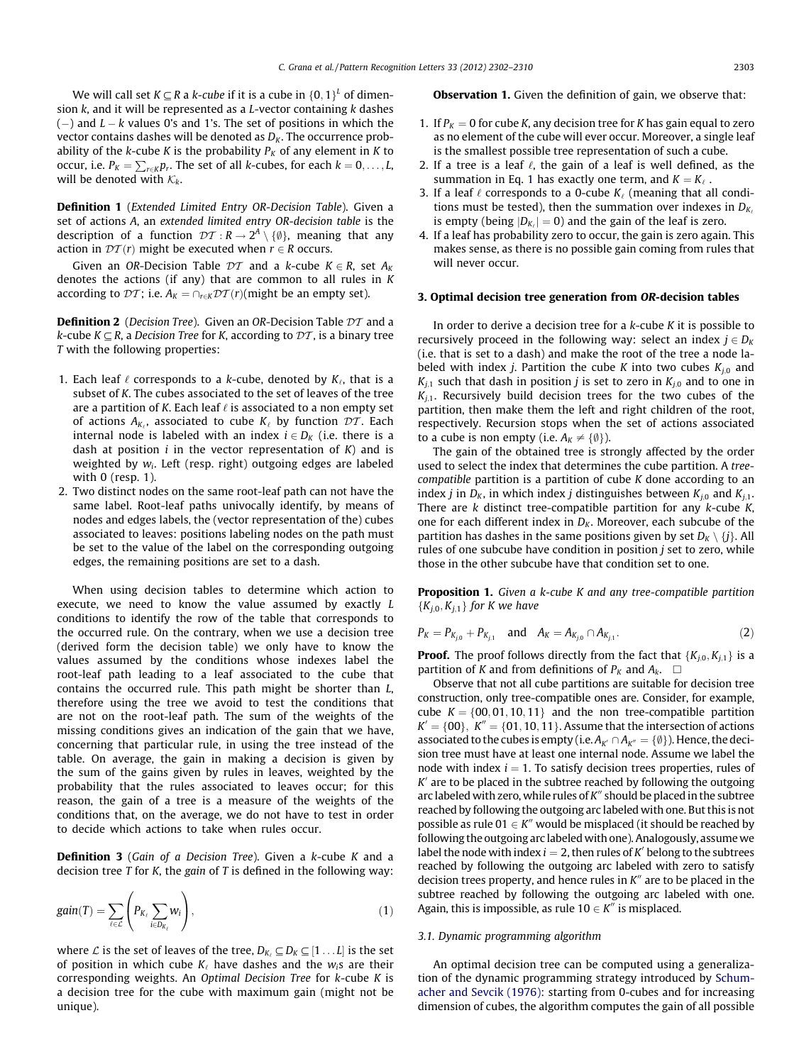We will call set  $K \subset R$  a k-cube if it is a cube in  ${0, 1}<sup>L</sup>$  of dimension k, and it will be represented as a L-vector containing k dashes  $(-)$  and  $L - k$  values 0's and 1's. The set of positions in which the vector contains dashes will be denoted as  $D_K$ . The occurrence probability of the k-cube K is the probability  $P_K$  of any element in K to occur, i.e.  $P_K = \sum_{r \in K} p_r$ . The set of all k-cubes, for each  $k = 0, \ldots, L$ , will be denoted with  $K_k$ .

Definition 1 (Extended Limited Entry OR-Decision Table). Given a set of actions A, an extended limited entry OR-decision table is the description of a function  $DT: R \to 2^A \setminus \{ \emptyset \}$ , meaning that any action in  $DT(r)$  might be executed when  $r \in R$  occurs.

Given an OR-Decision Table  $DT$  and a k-cube  $K \in R$ , set  $A_K$ denotes the actions (if any) that are common to all rules in K according to  $DT$ ; i.e.  $A_K = \bigcap_{r \in K}DT(r)$ (might be an empty set).

**Definition 2** (Decision Tree). Given an OR-Decision Table  $DT$  and a k-cube  $K \subset R$ , a Decision Tree for K, according to  $DT$ , is a binary tree T with the following properties:

- 1. Each leaf  $\ell$  corresponds to a k-cube, denoted by  $K_{\ell}$ , that is a subset of K. The cubes associated to the set of leaves of the tree are a partition of K. Each leaf  $\ell$  is associated to a non empty set of actions  $A_{K_{\ell}}$ , associated to cube  $K_{\ell}$  by function  $DT$ . Each internal node is labeled with an index  $i \in D_K$  (i.e. there is a dash at position  $i$  in the vector representation of  $K$ ) and is weighted by  $w_i$ . Left (resp. right) outgoing edges are labeled with 0 (resp. 1).
- 2. Two distinct nodes on the same root-leaf path can not have the same label. Root-leaf paths univocally identify, by means of nodes and edges labels, the (vector representation of the) cubes associated to leaves: positions labeling nodes on the path must be set to the value of the label on the corresponding outgoing edges, the remaining positions are set to a dash.

When using decision tables to determine which action to execute, we need to know the value assumed by exactly L conditions to identify the row of the table that corresponds to the occurred rule. On the contrary, when we use a decision tree (derived form the decision table) we only have to know the values assumed by the conditions whose indexes label the root-leaf path leading to a leaf associated to the cube that contains the occurred rule. This path might be shorter than L, therefore using the tree we avoid to test the conditions that are not on the root-leaf path. The sum of the weights of the missing conditions gives an indication of the gain that we have, concerning that particular rule, in using the tree instead of the table. On average, the gain in making a decision is given by the sum of the gains given by rules in leaves, weighted by the probability that the rules associated to leaves occur; for this reason, the gain of a tree is a measure of the weights of the conditions that, on the average, we do not have to test in order to decide which actions to take when rules occur.

**Definition 3** (Gain of a Decision Tree). Given a k-cube K and a decision tree  $T$  for  $K$ , the gain of  $T$  is defined in the following way:

$$
gain(T) = \sum_{\ell \in \mathcal{L}} \left( P_{K_{\ell}} \sum_{i \in D_{K_{\ell}}} w_i \right), \tag{1}
$$

where  ${\cal L}$  is the set of leaves of the tree,  $D_{K_\ell} \subseteq D_K \subseteq [1 \dots L]$  is the set of position in which cube  $K_{\ell}$  have dashes and the  $w_i$ s are their corresponding weights. An Optimal Decision Tree for k-cube K is a decision tree for the cube with maximum gain (might not be unique).

**Observation 1.** Given the definition of gain, we observe that:

- 1. If  $P_K = 0$  for cube K, any decision tree for K has gain equal to zero as no element of the cube will ever occur. Moreover, a single leaf is the smallest possible tree representation of such a cube.
- 2. If a tree is a leaf  $\ell$ , the gain of a leaf is well defined, as the summation in Eq. 1 has exactly one term, and  $K = K_{\ell}$ .
- 3. If a leaf  $\ell$  corresponds to a 0-cube  $K_{\ell}$  (meaning that all conditions must be tested), then the summation over indexes in  $D_{K}$ . is empty (being  $|D_{K_i}| = 0$ ) and the gain of the leaf is zero.
- 4. If a leaf has probability zero to occur, the gain is zero again. This makes sense, as there is no possible gain coming from rules that will never occur.

#### 3. Optimal decision tree generation from OR-decision tables

In order to derive a decision tree for a  $k$ -cube  $K$  it is possible to recursively proceed in the following way: select an index  $j \in D_K$ (i.e. that is set to a dash) and make the root of the tree a node labeled with index *j*. Partition the cube K into two cubes  $K_{i,0}$  and  $K_{i,1}$  such that dash in position *j* is set to zero in  $K_{i,0}$  and to one in  $K_{i,1}$ . Recursively build decision trees for the two cubes of the partition, then make them the left and right children of the root, respectively. Recursion stops when the set of actions associated to a cube is non empty (i.e.  $A_K \neq \{\emptyset\}$ ).

The gain of the obtained tree is strongly affected by the order used to select the index that determines the cube partition. A treecompatible partition is a partition of cube  $K$  done according to an index *j* in  $D_K$ , in which index *j* distinguishes between  $K_{i,0}$  and  $K_{i,1}$ . There are  $k$  distinct tree-compatible partition for any  $k$ -cube  $K$ , one for each different index in  $D_K$ . Moreover, each subcube of the partition has dashes in the same positions given by set  $D_K \setminus \{j\}$ . All rules of one subcube have condition in position *i* set to zero, while those in the other subcube have that condition set to one.

Proposition 1. Given a k-cube K and any tree-compatible partition  ${K_{i,0}, K_{i,1}}$  for K we have

$$
P_K = P_{K_{j,0}} + P_{K_{j,1}} \quad \text{and} \quad A_K = A_{K_{j,0}} \cap A_{K_{j,1}}.
$$
 (2)

**Proof.** The proof follows directly from the fact that  $\{K_{i,0}, K_{i,1}\}\$ is a partition of K and from definitions of  $P_K$  and  $A_k$ .  $\Box$ 

Observe that not all cube partitions are suitable for decision tree construction, only tree-compatible ones are. Consider, for example, cube  $K = \{00, 01, 10, 11\}$  and the non tree-compatible partition  $K' = \{00\}, K'' = \{01, 10, 11\}$ . Assume that the intersection of actions associated to the cubes is empty (i.e.  $A_{K'} \cap A_{K''} = \{\emptyset\}$ ). Hence, the decision tree must have at least one internal node. Assume we label the node with index  $i = 1$ . To satisfy decision trees properties, rules of  $K'$  are to be placed in the subtree reached by following the outgoing arc labeled with zero, while rules of  $K''$  should be placed in the subtree reached by following the outgoing arc labeled with one. But this is not possible as rule  $01 \in K''$  would be misplaced (it should be reached by following the outgoing arc labeled with one). Analogously, assume we label the node with index  $i = 2$ , then rules of K' belong to the subtrees reached by following the outgoing arc labeled with zero to satisfy decision trees property, and hence rules in  $K''$  are to be placed in the subtree reached by following the outgoing arc labeled with one. Again, this is impossible, as rule  $10 \in K''$  is misplaced.

#### 3.1. Dynamic programming algorithm

An optimal decision tree can be computed using a generalization of the dynamic programming strategy introduced by [Schum](#page-8-0)[acher and Sevcik \(1976\)](#page-8-0): starting from 0-cubes and for increasing dimension of cubes, the algorithm computes the gain of all possible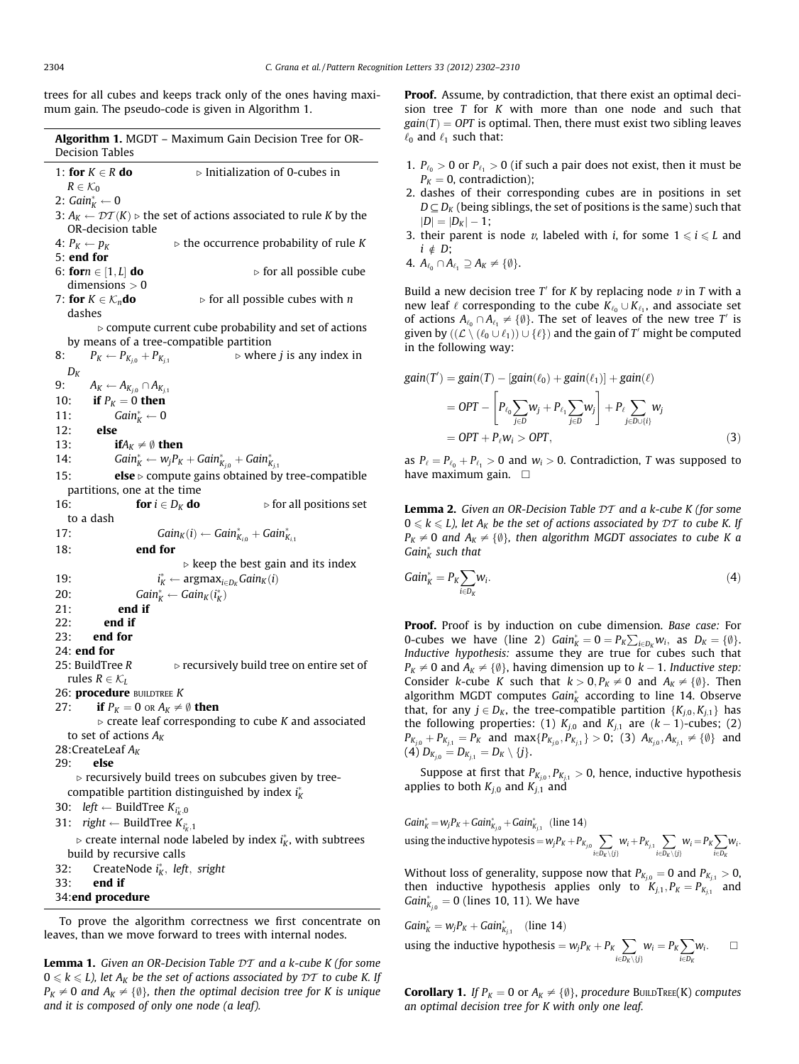<span id="page-2-0"></span>trees for all cubes and keeps track only of the ones having maximum gain. The pseudo-code is given in Algorithm 1.

| Algorithm 1. MGDT - Maximum Gain Decision Tree for OR-<br><b>Decision Tables</b>                                         |
|--------------------------------------------------------------------------------------------------------------------------|
| $\triangleright$ Initialization of 0-cubes in<br>1: for $K \in R$ do<br>$R \in \mathcal{K}_0$                            |
| 2: $Gain_K^* \leftarrow 0$                                                                                               |
| 3: $A_K \leftarrow \mathcal{DT}(K)$ $\triangleright$ the set of actions associated to rule K by the<br>OR-decision table |
| 4: $P_K \leftarrow p_K$<br>$\triangleright$ the occurrence probability of rule K<br>5: end for                           |
| $\triangleright$ for all possible cube<br>6: for $n \in [1, L]$ do<br>dimensions > 0                                     |
| $\triangleright$ for all possible cubes with <i>n</i><br>7: for $K \in \mathcal{K}_n$ do<br>dashes                       |
| $\triangleright$ compute current cube probability and set of actions                                                     |
| by means of a tree-compatible partition                                                                                  |
| 8:<br>$P_K \leftarrow P_{K_{i,0}} + P_{K_{i,1}}$<br>$\triangleright$ where <i>j</i> is any index in                      |
| $D_K$                                                                                                                    |
| 9:<br>$A_K \leftarrow A_{K_{j,0}} \cap A_{K_{j,1}}$                                                                      |
| if $P_K = 0$ then<br>10:                                                                                                 |
| $Gain_K^* \leftarrow 0$<br>11:                                                                                           |
| 12:<br>else                                                                                                              |
| 13:<br>if $A_K \neq \emptyset$ then                                                                                      |
| 14:<br>$Gain_K^* \leftarrow w_j P_K + Gain_{K_{i,0}}^* + Gain_{K_{i,1}}^*$                                               |
| $else$ $\triangleright$ compute gains obtained by tree-compatible<br>15:                                                 |
| partitions, one at the time                                                                                              |
| $\triangleright$ for all positions set<br>16:<br>for $i \in D_K$ do                                                      |
| to a dash                                                                                                                |
| $Gain_K(i) \leftarrow Gain_{K_{i0}}^* + Gain_{K_{i1}}^*$<br>17:                                                          |
| end for<br>18:                                                                                                           |
| $\triangleright$ keep the best gain and its index                                                                        |
| $i_K^* \leftarrow \text{argmax}_{i \in D_K} \text{Gain}_K(i)$<br>19:                                                     |
| $Gain_K^* \leftarrow Gain_K(i_K^*)$<br>20:                                                                               |
| 21:<br>end if<br>22:<br>end if                                                                                           |
| 23:<br>end for                                                                                                           |
| $24:$ end for                                                                                                            |
| 25: BuildTree R<br>$\triangleright$ recursively build tree on entire set of                                              |
| rules $R \in \mathcal{K}_L$                                                                                              |
| 26: procedure BUILDTREE K                                                                                                |
| if $P_K = 0$ or $A_K \neq \emptyset$ then<br>27:                                                                         |
| $\triangleright$ create leaf corresponding to cube K and associated                                                      |
| to set of actions $A_K$                                                                                                  |
| 28: Create Leaf $A_K$                                                                                                    |
| 29:<br>else                                                                                                              |
| $\triangleright$ recursively build trees on subcubes given by tree-                                                      |
| compatible partition distinguished by index $i_K^*$                                                                      |
| left $\leftarrow$ BuildTree $K_{i_{\nu},0}$<br>30:                                                                       |
| 31:<br>right $\leftarrow$ BuildTree $K_{i_k^*,1}$                                                                        |
| $\triangleright$ create internal node labeled by index $i_K^*$ , with subtrees                                           |
| build by recursive calls                                                                                                 |
| 32:<br>CreateNode $i_K^*$ , left, sright                                                                                 |
| 33:<br>end if                                                                                                            |
| 34:end procedure                                                                                                         |

To prove the algorithm correctness we first concentrate on leaves, than we move forward to trees with internal nodes.

**Lemma 1.** Given an OR-Decision Table  $DT$  and a k-cube K (for some  $0 \leq k \leq L$ ), let  $A_K$  be the set of actions associated by  $DT$  to cube K. If  $P_K \neq 0$  and  $A_K \neq \{\emptyset\}$ , then the optimal decision tree for K is unique and it is composed of only one node (a leaf).

**Proof.** Assume, by contradiction, that there exist an optimal decision tree T for K with more than one node and such that  $gain(T) = OPT$  is optimal. Then, there must exist two sibling leaves  $\ell_0$  and  $\ell_1$  such that:

- 1.  $P_{\ell_0} > 0$  or  $P_{\ell_1} > 0$  (if such a pair does not exist, then it must be  $P_K = 0$ , contradiction);
- 2. dashes of their corresponding cubes are in positions in set  $D \subseteq D_K$  (being siblings, the set of positions is the same) such that  $|D| = |D_K| - 1;$
- 3. their parent is node *v*, labeled with *i*, for some  $1 \le i \le L$  and  $i \notin D$ ;
- 4.  $A_{\ell_0} \cap A_{\ell_1} \supseteq A_K \neq \{\emptyset\}.$

Build a new decision tree  $T'$  for K by replacing node  $v$  in T with a new leaf  $\ell$  corresponding to the cube  $K_{\ell_0} \cup K_{\ell_1}$ , and associate set of actions  $A_{\ell_0} \cap A_{\ell_1} \neq {\emptyset}$ . The set of leaves of the new tree T' is given by  $((\mathcal{L} \setminus (\ell_0 \cup \ell_1)) \cup \{\ell\})$  and the gain of T' might be computed in the following way:

$$
gain(T') = gain(T) - [gain(\ell_0) + gain(\ell_1)] + gain(\ell)
$$
  
=  $OPT - \left[ P_{\ell_0} \sum_{j \in D} w_j + P_{\ell_1} \sum_{j \in D} w_j \right] + P_{\ell} \sum_{j \in D \cup \{i\}} w_j$   
=  $OPT + P_{\ell} w_i > OPT$ , (3)

as  $P_{\ell} = P_{\ell_0} + P_{\ell_1} > 0$  and  $w_i > 0$ . Contradiction, T was supposed to have maximum gain.  $\square$ 

**Lemma 2.** Given an OR-Decision Table  $DT$  and a k-cube K (for some  $0 \leq k \leq L$ ), let  $A_K$  be the set of actions associated by  $DT$  to cube K. If  $P_K \neq 0$  and  $A_K \neq \{\emptyset\}$ , then algorithm MGDT associates to cube K a Gain $<sub>K</sub><sup>*</sup>$  such that</sub>

$$
Gain_K^* = P_K \sum_{i \in D_K} w_i.
$$
\n(4)

Proof. Proof is by induction on cube dimension. Base case: For 0-cubes we have (line 2)  $Gain_K^* = 0 = P_K \sum_{i \in D_K} w_i$ , as  $D_K = \{\emptyset\}$ . Inductive hypothesis: assume they are true for cubes such that  $P_K \neq 0$  and  $A_K \neq {\emptyset}$ , having dimension up to  $k - 1$ . Inductive step: Consider k-cube K such that  $k > 0, P_K \neq 0$  and  $A_K \neq \{\emptyset\}$ . Then algorithm MGDT computes  $Gain^*_K$  according to line 14. Observe that, for any  $j \in D_K$ , the tree-compatible partition  $\{K_{j,0}, K_{j,1}\}\)$  has the following properties: (1)  $K_{j,0}$  and  $K_{j,1}$  are  $(k-1)$ -cubes; (2)  $P_{K_{j,0}} + P_{K_{j,1}} = P_K$  and  $\max\{P_{K_{j,0}}, P_{K_{j,1}}\} > 0$ ; (3)  $A_{K_{j,0}}, A_{K_{j,1}} \neq \{\emptyset\}$  and (4)  $D_{K_{i,0}} = D_{K_{i,1}} = D_K \setminus \{j\}.$ 

Suppose at first that  $P_{K_{i,0}}, P_{K_{i,1}} > 0$ , hence, inductive hypothesis applies to both  $K_{i,0}$  and  $K_{i,1}$  and

$$
Gain_{K}^{*} = w_{j}P_{K} + Gain_{K_{j,0}}^{*} + Gain_{K_{j,1}}^{*} \text{ (line 14)}using the inductive hypothesis =  $w_{j}P_{K} + P_{K_{j,0}} \sum_{i \in D_{K} \setminus \{j\}} w_{i} + P_{K_{j,1}} \sum_{i \in D_{K} \setminus \{j\}} w_{i} = P_{K} \sum_{i \in D_{K}} w_{i}$
$$

Without loss of generality, suppose now that  $P_{K_{i,0}} = 0$  and  $P_{K_{i,1}} > 0$ , then inductive hypothesis applies only to  $K_{j,1}$ ,  $P_K = P_{K_{j,1}}$  and  $Gain^*_{K_{j,0}} = 0$  (lines 10, 11). We have

 $Gain_K^* = w_j P_K + Gain_{K_{j,1}}^*$  (line 14)

using the inductive hypothesis = 
$$
w_j P_K + P_K \sum_{i \in D_K \setminus \{j\}} w_i = P_K \sum_{i \in D_K} w_i
$$
.

**Corollary 1.** If  $P_K = 0$  or  $A_K \neq \{\emptyset\}$ , procedure BUILDTREE(K) computes an optimal decision tree for K with only one leaf.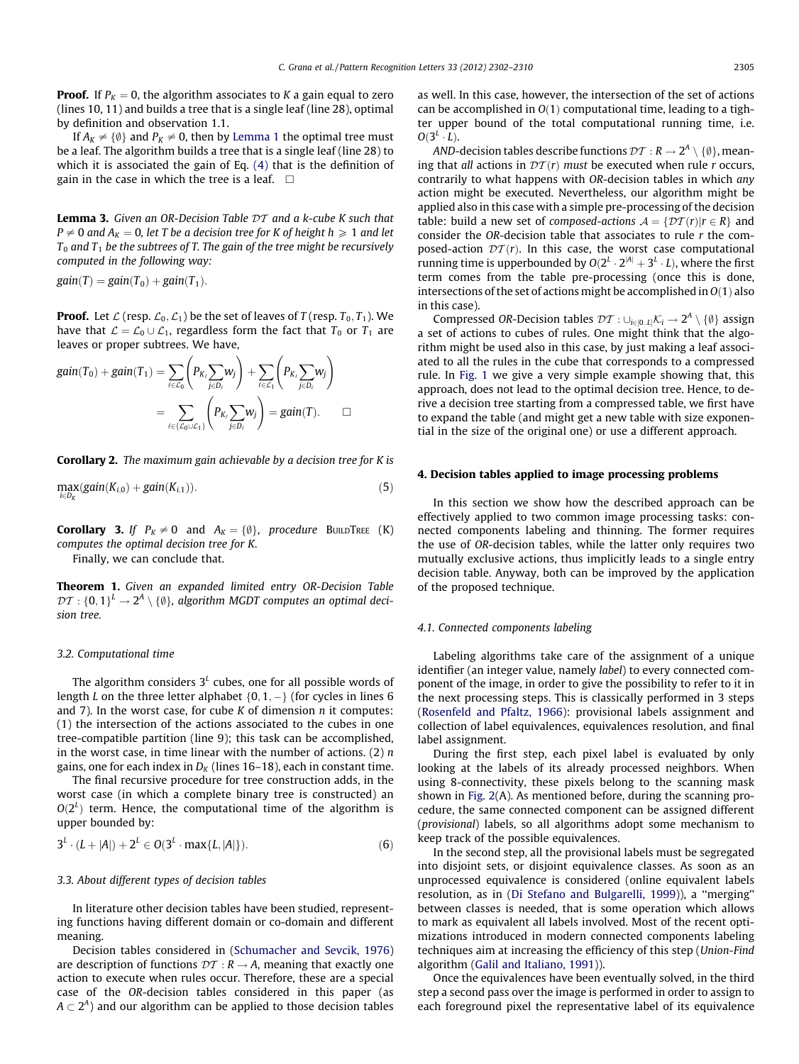**Proof.** If  $P_K = 0$ , the algorithm associates to K a gain equal to zero (lines 10, 11) and builds a tree that is a single leaf (line 28), optimal by definition and observation 1.1.

If  $A_K \neq \{\emptyset\}$  and  $P_K \neq 0$ , then by [Lemma 1](#page-2-0) the optimal tree must be a leaf. The algorithm builds a tree that is a single leaf (line 28) to which it is associated the gain of Eq. [\(4\)](#page-2-0) that is the definition of gain in the case in which the tree is a leaf.  $\Box$ 

**Lemma 3.** Given an OR-Decision Table  $DT$  and a k-cube K such that  $P \neq 0$  and  $A_K = 0$ , let T be a decision tree for K of height  $h \geq 1$  and let  $T_0$  and  $T_1$  be the subtrees of T. The gain of the tree might be recursively computed in the following way:

$$
gain(T) = gain(T_0) + gain(T_1).
$$

**Proof.** Let  $\mathcal{L}$  (resp.  $\mathcal{L}_0$ ,  $\mathcal{L}_1$ ) be the set of leaves of T (resp.  $T_0$ ,  $T_1$ ). We have that  $\mathcal{L} = \mathcal{L}_0 \cup \mathcal{L}_1$ , regardless form the fact that  $T_0$  or  $T_1$  are leaves or proper subtrees. We have,

$$
gain(T_0) + gain(T_1) = \sum_{\ell \in \mathcal{L}_0} \left( P_{K_{\ell}} \sum_{j \in D_{\ell}} w_j \right) + \sum_{\ell \in \mathcal{L}_1} \left( P_{K_{\ell}} \sum_{j \in D_{\ell}} w_j \right)
$$

$$
= \sum_{\ell \in \{\mathcal{L}_0 \cup \mathcal{L}_1\}} \left( P_{K_{\ell}} \sum_{j \in D_{\ell}} w_j \right) = gain(T). \qquad \Box
$$

Corollary 2. The maximum gain achievable by a decision tree for K is

$$
\max_{i \in D_K} (gain(K_{i,0}) + gain(K_{i,1})). \tag{5}
$$

**Corollary 3.** If  $P_K \neq 0$  and  $A_K = \{\emptyset\}$ , procedure BUILDTREE (K) computes the optimal decision tree for K.

Finally, we can conclude that.

Theorem 1. Given an expanded limited entry OR-Decision Table  $DT: \{0,1\}^L \rightarrow 2^A \setminus \{\emptyset\}$ , algorithm MGDT computes an optimal decision tree.

#### 3.2. Computational time

The algorithm considers  $3<sup>L</sup>$  cubes, one for all possible words of length L on the three letter alphabet  $\{0, 1, -\}$  (for cycles in lines 6 and 7). In the worst case, for cube  $K$  of dimension  $n$  it computes: (1) the intersection of the actions associated to the cubes in one tree-compatible partition (line 9); this task can be accomplished, in the worst case, in time linear with the number of actions. (2)  $n$ gains, one for each index in  $D<sub>K</sub>$  (lines 16–18), each in constant time.

The final recursive procedure for tree construction adds, in the worst case (in which a complete binary tree is constructed) an  $O(2<sup>L</sup>)$  term. Hence, the computational time of the algorithm is upper bounded by:

$$
3^{L} \cdot (L + |A|) + 2^{L} \in O(3^{L} \cdot \max\{L, |A|\}). \tag{6}
$$

#### 3.3. About different types of decision tables

In literature other decision tables have been studied, representing functions having different domain or co-domain and different meaning.

Decision tables considered in ([Schumacher and Sevcik, 1976\)](#page-8-0) are description of functions  $DT : R \rightarrow A$ , meaning that exactly one action to execute when rules occur. Therefore, these are a special case of the OR-decision tables considered in this paper (as  $A\subset 2^A$ ) and our algorithm can be applied to those decision tables

as well. In this case, however, the intersection of the set of actions can be accomplished in  $O(1)$  computational time, leading to a tighter upper bound of the total computational running time, i.e.  $O(3^L \cdot L)$ .

AND-decision tables describe functions  $\mathcal{DT}: R \to 2^A \setminus \{\emptyset\}$ , meaning that all actions in  $DT(r)$  must be executed when rule r occurs, contrarily to what happens with OR-decision tables in which any action might be executed. Nevertheless, our algorithm might be applied also in this case with a simple pre-processing of the decision table: build a new set of composed-actions  $A = \{DT(r)|r \in R\}$  and consider the OR-decision table that associates to rule  $r$  the composed-action  $DT(r)$ . In this case, the worst case computational running time is upperbounded by  $O(2^L \cdot 2^{|A|} + 3^L \cdot L)$ , where the first term comes from the table pre-processing (once this is done, intersections of the set of actions might be accomplished in  $O(1)$  also in this case).

Compressed OR-Decision tables  $\mathcal{DT}: \cup_{i\in [0..L]} \mathcal{K}_i \to 2^A\setminus \{\emptyset\}$  assign a set of actions to cubes of rules. One might think that the algorithm might be used also in this case, by just making a leaf associated to all the rules in the cube that corresponds to a compressed rule. In [Fig. 1](#page-4-0) we give a very simple example showing that, this approach, does not lead to the optimal decision tree. Hence, to derive a decision tree starting from a compressed table, we first have to expand the table (and might get a new table with size exponential in the size of the original one) or use a different approach.

#### 4. Decision tables applied to image processing problems

In this section we show how the described approach can be effectively applied to two common image processing tasks: connected components labeling and thinning. The former requires the use of OR-decision tables, while the latter only requires two mutually exclusive actions, thus implicitly leads to a single entry decision table. Anyway, both can be improved by the application of the proposed technique.

#### 4.1. Connected components labeling

Labeling algorithms take care of the assignment of a unique identifier (an integer value, namely *label*) to every connected component of the image, in order to give the possibility to refer to it in the next processing steps. This is classically performed in 3 steps ([Rosenfeld and Pfaltz, 1966\)](#page-8-0): provisional labels assignment and collection of label equivalences, equivalences resolution, and final label assignment.

During the first step, each pixel label is evaluated by only looking at the labels of its already processed neighbors. When using 8-connectivity, these pixels belong to the scanning mask shown in [Fig. 2](#page-4-0)(A). As mentioned before, during the scanning procedure, the same connected component can be assigned different (provisional) labels, so all algorithms adopt some mechanism to keep track of the possible equivalences.

In the second step, all the provisional labels must be segregated into disjoint sets, or disjoint equivalence classes. As soon as an unprocessed equivalence is considered (online equivalent labels resolution, as in [\(Di Stefano and Bulgarelli, 1999\)](#page-7-0)), a ''merging'' between classes is needed, that is some operation which allows to mark as equivalent all labels involved. Most of the recent optimizations introduced in modern connected components labeling techniques aim at increasing the efficiency of this step (Union-Find algorithm [\(Galil and Italiano, 1991](#page-7-0))).

Once the equivalences have been eventually solved, in the third step a second pass over the image is performed in order to assign to each foreground pixel the representative label of its equivalence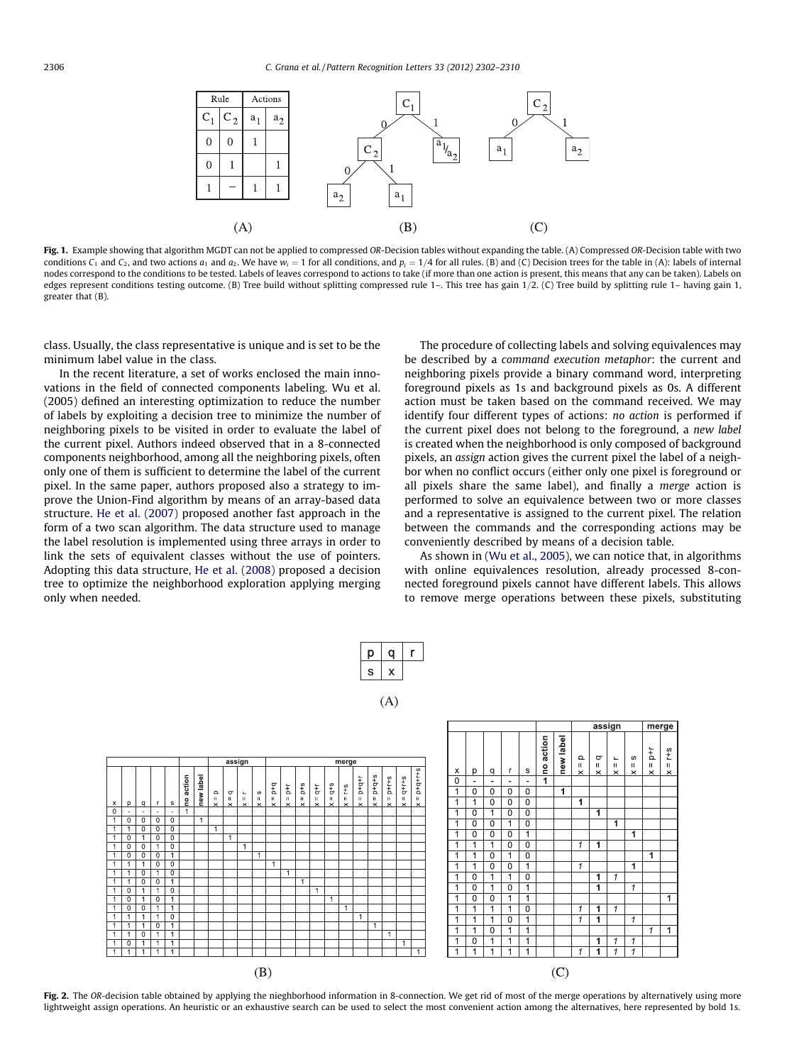<span id="page-4-0"></span>

Fig. 1. Example showing that algorithm MGDT can not be applied to compressed OR-Decision tables without expanding the table. (A) Compressed OR-Decision table with two conditions C<sub>1</sub> and C<sub>2</sub>, and two actions  $a_1$  and  $a_2$ . We have  $w_i = 1$  for all conditions, and  $p_i = 1/4$  for all rules. (B) and (C) Decision trees for the table in (A): labels of internal nodes correspond to the conditions to be tested. Labels of leaves correspond to actions to take (if more than one action is present, this means that any can be taken). Labels on edges represent conditions testing outcome. (B) Tree build without splitting compressed rule 1–. This tree has gain  $1/2$ . (C) Tree build by splitting rule 1– having gain 1, greater that (B).

class. Usually, the class representative is unique and is set to be the minimum label value in the class.

In the recent literature, a set of works enclosed the main innovations in the field of connected components labeling. Wu et al. (2005) defined an interesting optimization to reduce the number of labels by exploiting a decision tree to minimize the number of neighboring pixels to be visited in order to evaluate the label of the current pixel. Authors indeed observed that in a 8-connected components neighborhood, among all the neighboring pixels, often only one of them is sufficient to determine the label of the current pixel. In the same paper, authors proposed also a strategy to improve the Union-Find algorithm by means of an array-based data structure. [He et al. \(2007\)](#page-8-0) proposed another fast approach in the form of a two scan algorithm. The data structure used to manage the label resolution is implemented using three arrays in order to link the sets of equivalent classes without the use of pointers. Adopting this data structure, [He et al. \(2008\)](#page-8-0) proposed a decision tree to optimize the neighborhood exploration applying merging only when needed.

The procedure of collecting labels and solving equivalences may be described by a command execution metaphor: the current and neighboring pixels provide a binary command word, interpreting foreground pixels as 1s and background pixels as 0s. A different action must be taken based on the command received. We may identify four different types of actions: no action is performed if the current pixel does not belong to the foreground, a new label is created when the neighborhood is only composed of background pixels, an assign action gives the current pixel the label of a neighbor when no conflict occurs (either only one pixel is foreground or all pixels share the same label), and finally a merge action is performed to solve an equivalence between two or more classes and a representative is assigned to the current pixel. The relation between the commands and the corresponding actions may be conveniently described by means of a decision table.

As shown in ([Wu et al., 2005\)](#page-8-0), we can notice that, in algorithms with online equivalences resolution, already processed 8-connected foreground pixels cannot have different labels. This allows to remove merge operations between these pixels, substituting



Fig. 2. The OR-decision table obtained by applying the nieghborhood information in 8-connection. We get rid of most of the merge operations by alternatively using more lightweight assign operations. An heuristic or an exhaustive search can be used to select the most convenient action among the alternatives, here represented by bold 1s.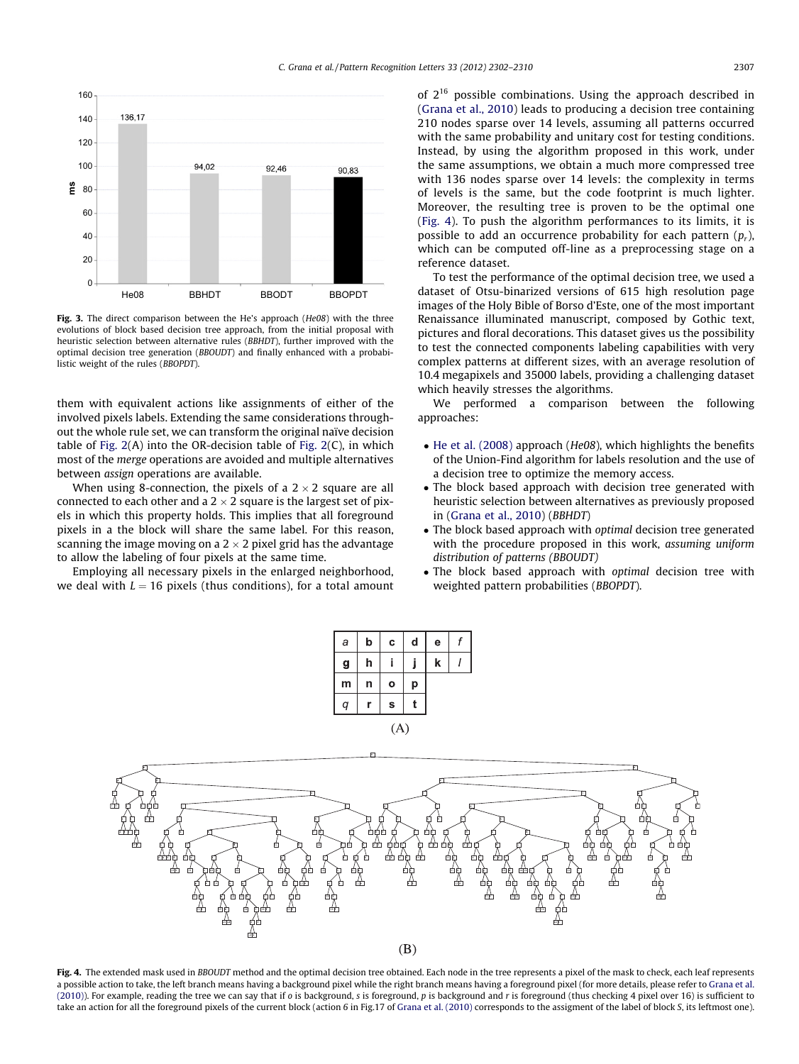<span id="page-5-0"></span>

Fig. 3. The direct comparison between the He's approach (He08) with the three evolutions of block based decision tree approach, from the initial proposal with heuristic selection between alternative rules (BBHDT), further improved with the optimal decision tree generation (BBOUDT) and finally enhanced with a probabilistic weight of the rules (BBOPDT).

them with equivalent actions like assignments of either of the involved pixels labels. Extending the same considerations throughout the whole rule set, we can transform the original naïve decision table of [Fig. 2](#page-4-0)(A) into the OR-decision table of [Fig. 2](#page-4-0)(C), in which most of the merge operations are avoided and multiple alternatives between assign operations are available.

When using 8-connection, the pixels of a  $2 \times 2$  square are all connected to each other and a  $2 \times 2$  square is the largest set of pixels in which this property holds. This implies that all foreground pixels in a the block will share the same label. For this reason, scanning the image moving on a  $2 \times 2$  pixel grid has the advantage to allow the labeling of four pixels at the same time.

Employing all necessary pixels in the enlarged neighborhood, we deal with  $L = 16$  pixels (thus conditions), for a total amount of  $2^{16}$  possible combinations. Using the approach described in ([Grana et al., 2010\)](#page-7-0) leads to producing a decision tree containing 210 nodes sparse over 14 levels, assuming all patterns occurred with the same probability and unitary cost for testing conditions. Instead, by using the algorithm proposed in this work, under the same assumptions, we obtain a much more compressed tree with 136 nodes sparse over 14 levels: the complexity in terms of levels is the same, but the code footprint is much lighter. Moreover, the resulting tree is proven to be the optimal one (Fig. 4). To push the algorithm performances to its limits, it is possible to add an occurrence probability for each pattern  $(p_r)$ , which can be computed off-line as a preprocessing stage on a reference dataset.

To test the performance of the optimal decision tree, we used a dataset of Otsu-binarized versions of 615 high resolution page images of the Holy Bible of Borso d'Este, one of the most important Renaissance illuminated manuscript, composed by Gothic text, pictures and floral decorations. This dataset gives us the possibility to test the connected components labeling capabilities with very complex patterns at different sizes, with an average resolution of 10.4 megapixels and 35000 labels, providing a challenging dataset which heavily stresses the algorithms.

We performed a comparison between the following approaches:

- [He et al. \(2008\)](#page-8-0) approach (He08), which highlights the benefits of the Union-Find algorithm for labels resolution and the use of a decision tree to optimize the memory access.
- The block based approach with decision tree generated with heuristic selection between alternatives as previously proposed in [\(Grana et al., 2010](#page-7-0)) (BBHDT)
- The block based approach with optimal decision tree generated with the procedure proposed in this work, assuming uniform distribution of patterns (BBOUDT)
- The block based approach with optimal decision tree with weighted pattern probabilities (BBOPDT).

| a   | b | C            | d | e           |  |
|-----|---|--------------|---|-------------|--|
| g   | h |              |   | $\mathbf k$ |  |
| m   | n | $\mathbf{o}$ | р |             |  |
| q   | r | ${\bf s}$    | t |             |  |
| (A) |   |              |   |             |  |



Fig. 4. The extended mask used in BBOUDT method and the optimal decision tree obtained. Each node in the tree represents a pixel of the mask to check, each leaf represents a possible action to take, the left branch means having a background pixel while the right branch means having a foreground pixel (for more details, please refer to [Grana et al.](#page-7-0) [\(2010\)](#page-7-0)). For example, reading the tree we can say that if o is background, s is foreground, p is background and r is foreground (thus checking 4 pixel over 16) is sufficient to take an action for all the foreground pixels of the current block (action 6 in Fig.17 of [Grana et al. \(2010\)](#page-7-0) corresponds to the assigment of the label of block S, its leftmost one).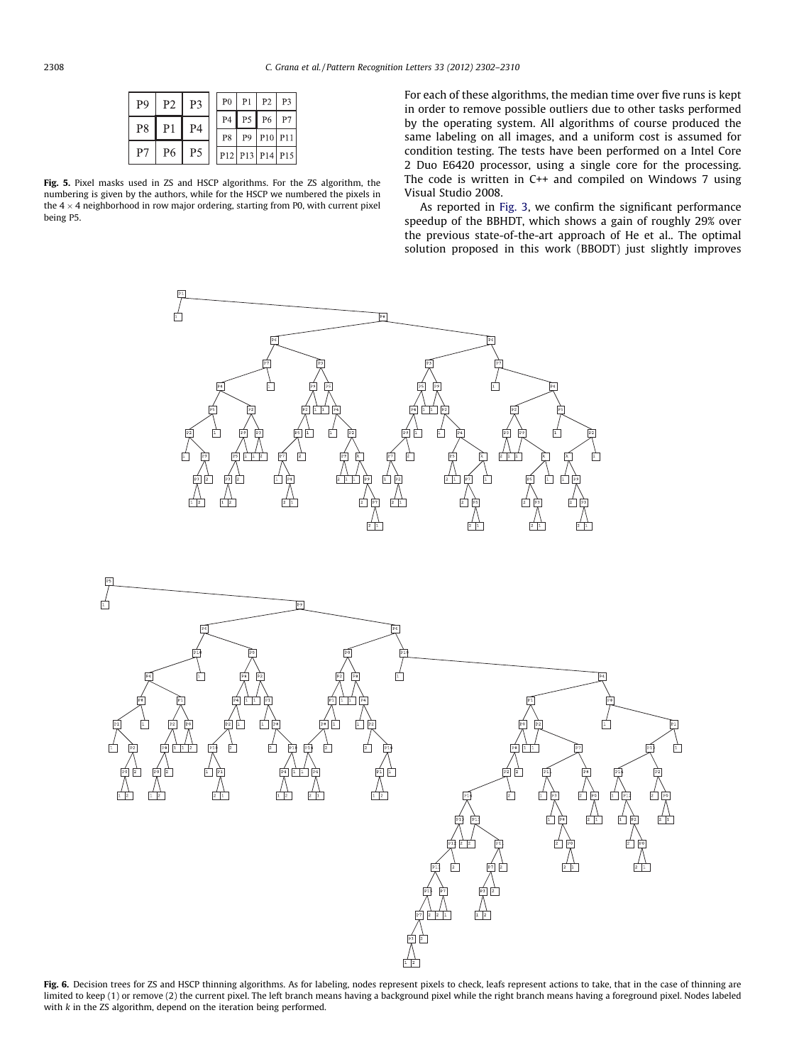<span id="page-6-0"></span>

| P <sub>9</sub> |          | $P2$ $P3$ |  | $P0$   P1   P2   P3                                             |  |
|----------------|----------|-----------|--|-----------------------------------------------------------------|--|
|                | P8 P1 P4 |           |  | P4 P5 P6 P7                                                     |  |
|                |          |           |  | P8 P9 P10 P11                                                   |  |
| P7             |          | P6 P5     |  | P <sub>12</sub> P <sub>13</sub> P <sub>14</sub> P <sub>15</sub> |  |

Fig. 5. Pixel masks used in ZS and HSCP algorithms. For the ZS algorithm, the numbering is given by the authors, while for the HSCP we numbered the pixels in the  $4 \times 4$  neighborhood in row major ordering, starting from P0, with current pixel being P5.

For each of these algorithms, the median time over five runs is kept in order to remove possible outliers due to other tasks performed by the operating system. All algorithms of course produced the same labeling on all images, and a uniform cost is assumed for condition testing. The tests have been performed on a Intel Core 2 Duo E6420 processor, using a single core for the processing. The code is written in C++ and compiled on Windows 7 using Visual Studio 2008.

As reported in [Fig. 3,](#page-5-0) we confirm the significant performance speedup of the BBHDT, which shows a gain of roughly 29% over the previous state-of-the-art approach of He et al.. The optimal solution proposed in this work (BBODT) just slightly improves



Fig. 6. Decision trees for ZS and HSCP thinning algorithms. As for labeling, nodes represent pixels to check, leafs represent actions to take, that in the case of thinning are limited to keep (1) or remove (2) the current pixel. The left branch means having a background pixel while the right branch means having a foreground pixel. Nodes labeled with  $k$  in the ZS algorithm, depend on the iteration being performed.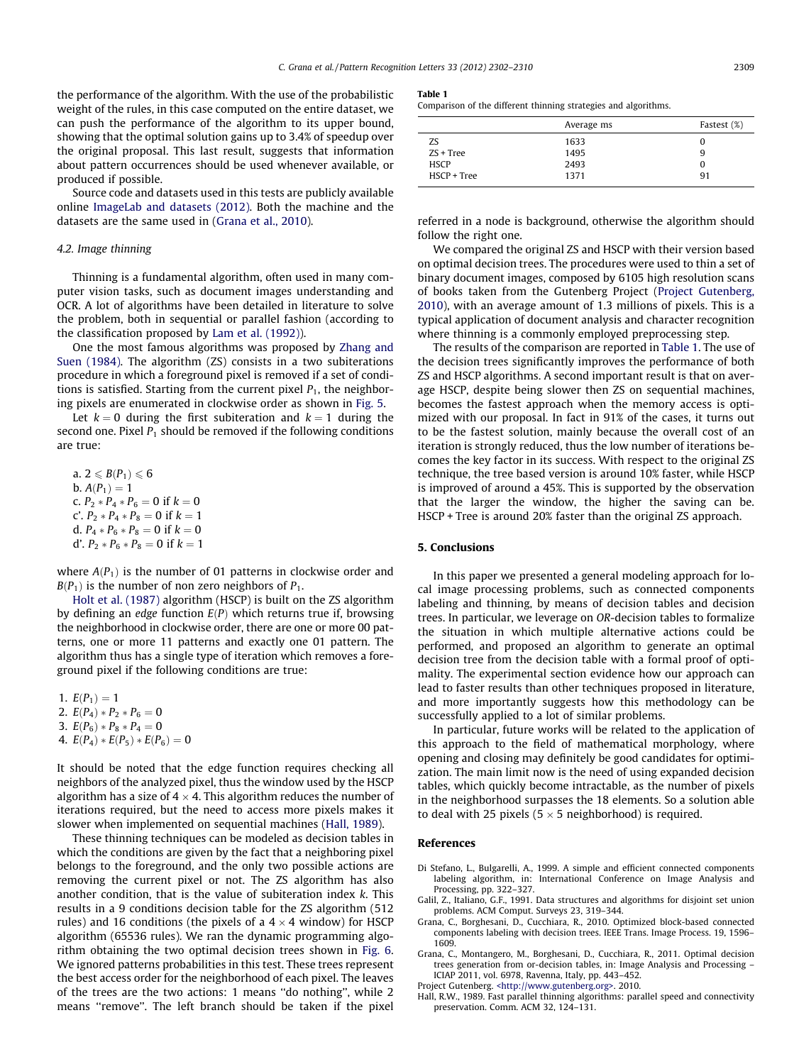<span id="page-7-0"></span>the performance of the algorithm. With the use of the probabilistic weight of the rules, in this case computed on the entire dataset, we can push the performance of the algorithm to its upper bound, showing that the optimal solution gains up to 3.4% of speedup over the original proposal. This last result, suggests that information about pattern occurrences should be used whenever available, or produced if possible.

Source code and datasets used in this tests are publicly available online [ImageLab and datasets \(2012\)](#page-8-0). Both the machine and the datasets are the same used in (Grana et al., 2010).

#### 4.2. Image thinning

Thinning is a fundamental algorithm, often used in many computer vision tasks, such as document images understanding and OCR. A lot of algorithms have been detailed in literature to solve the problem, both in sequential or parallel fashion (according to the classification proposed by [Lam et al. \(1992\)](#page-8-0)).

One the most famous algorithms was proposed by [Zhang and](#page-8-0) [Suen \(1984\).](#page-8-0) The algorithm (ZS) consists in a two subiterations procedure in which a foreground pixel is removed if a set of conditions is satisfied. Starting from the current pixel  $P_1$ , the neighboring pixels are enumerated in clockwise order as shown in [Fig. 5.](#page-6-0)

Let  $k = 0$  during the first subiteration and  $k = 1$  during the second one. Pixel  $P_1$  should be removed if the following conditions are true:

a.  $2 \leq B(P_1) \leq 6$ b.  $A(P_1) = 1$ c.  $P_2 * P_4 * P_6 = 0$  if  $k = 0$ c'.  $P_2 * P_4 * P_8 = 0$  if  $k = 1$ d.  $P_4 * P_6 * P_8 = 0$  if  $k = 0$ d'.  $P_2 * P_6 * P_8 = 0$  if  $k = 1$ 

where  $A(P_1)$  is the number of 01 patterns in clockwise order and  $B(P_1)$  is the number of non zero neighbors of  $P_1$ .

[Holt et al. \(1987\)](#page-8-0) algorithm (HSCP) is built on the ZS algorithm by defining an edge function  $E(P)$  which returns true if, browsing the neighborhood in clockwise order, there are one or more 00 patterns, one or more 11 patterns and exactly one 01 pattern. The algorithm thus has a single type of iteration which removes a foreground pixel if the following conditions are true:

| 1. $E(P_1) = 1$                   |
|-----------------------------------|
| 2. $E(P_4) * P_2 * P_6 = 0$       |
| 3. $E(P_6) * P_8 * P_4 = 0$       |
| 4. $E(P_4) * E(P_5) * E(P_6) = 0$ |

It should be noted that the edge function requires checking all neighbors of the analyzed pixel, thus the window used by the HSCP algorithm has a size of  $4 \times 4$ . This algorithm reduces the number of iterations required, but the need to access more pixels makes it slower when implemented on sequential machines (Hall, 1989).

These thinning techniques can be modeled as decision tables in which the conditions are given by the fact that a neighboring pixel belongs to the foreground, and the only two possible actions are removing the current pixel or not. The ZS algorithm has also another condition, that is the value of subiteration index  $k$ . This results in a 9 conditions decision table for the ZS algorithm (512 rules) and 16 conditions (the pixels of a  $4 \times 4$  window) for HSCP algorithm (65536 rules). We ran the dynamic programming algorithm obtaining the two optimal decision trees shown in [Fig. 6.](#page-6-0) We ignored patterns probabilities in this test. These trees represent the best access order for the neighborhood of each pixel. The leaves of the trees are the two actions: 1 means ''do nothing'', while 2 means ''remove''. The left branch should be taken if the pixel

#### Table 1

Comparison of the different thinning strategies and algorithms.

|               | Average ms | Fastest (%) |
|---------------|------------|-------------|
| 7S            | 1633       |             |
| $7S + Tree$   | 1495       | 9           |
| <b>HSCP</b>   | 2493       | O           |
| $HSCP + Tree$ | 1371       | 91          |

referred in a node is background, otherwise the algorithm should follow the right one.

We compared the original ZS and HSCP with their version based on optimal decision trees. The procedures were used to thin a set of binary document images, composed by 6105 high resolution scans of books taken from the Gutenberg Project (Project Gutenberg, 2010), with an average amount of 1.3 millions of pixels. This is a typical application of document analysis and character recognition where thinning is a commonly employed preprocessing step.

The results of the comparison are reported in Table 1. The use of the decision trees significantly improves the performance of both ZS and HSCP algorithms. A second important result is that on average HSCP, despite being slower then ZS on sequential machines, becomes the fastest approach when the memory access is optimized with our proposal. In fact in 91% of the cases, it turns out to be the fastest solution, mainly because the overall cost of an iteration is strongly reduced, thus the low number of iterations becomes the key factor in its success. With respect to the original ZS technique, the tree based version is around 10% faster, while HSCP is improved of around a 45%. This is supported by the observation that the larger the window, the higher the saving can be. HSCP + Tree is around 20% faster than the original ZS approach.

#### 5. Conclusions

In this paper we presented a general modeling approach for local image processing problems, such as connected components labeling and thinning, by means of decision tables and decision trees. In particular, we leverage on OR-decision tables to formalize the situation in which multiple alternative actions could be performed, and proposed an algorithm to generate an optimal decision tree from the decision table with a formal proof of optimality. The experimental section evidence how our approach can lead to faster results than other techniques proposed in literature, and more importantly suggests how this methodology can be successfully applied to a lot of similar problems.

In particular, future works will be related to the application of this approach to the field of mathematical morphology, where opening and closing may definitely be good candidates for optimization. The main limit now is the need of using expanded decision tables, which quickly become intractable, as the number of pixels in the neighborhood surpasses the 18 elements. So a solution able to deal with 25 pixels ( $5 \times 5$  neighborhood) is required.

#### References

- Di Stefano, L., Bulgarelli, A., 1999. A simple and efficient connected components labeling algorithm, in: International Conference on Image Analysis and Processing, pp. 322–327.
- Galil, Z., Italiano, G.F., 1991. Data structures and algorithms for disjoint set union problems. ACM Comput. Surveys 23, 319–344.
- Grana, C., Borghesani, D., Cucchiara, R., 2010. Optimized block-based connected components labeling with decision trees. IEEE Trans. Image Process. 19, 1596– 1609.
- Grana, C., Montangero, M., Borghesani, D., Cucchiara, R., 2011. Optimal decision trees generation from or-decision tables, in: Image Analysis and Processing – ICIAP 2011, vol. 6978, Ravenna, Italy, pp. 443–452.
- Project Gutenberg. [<http://www.gutenberg.org>.](http://www.gutenberg.org) 2010.
- Hall, R.W., 1989. Fast parallel thinning algorithms: parallel speed and connectivity preservation. Comm. ACM 32, 124–131.